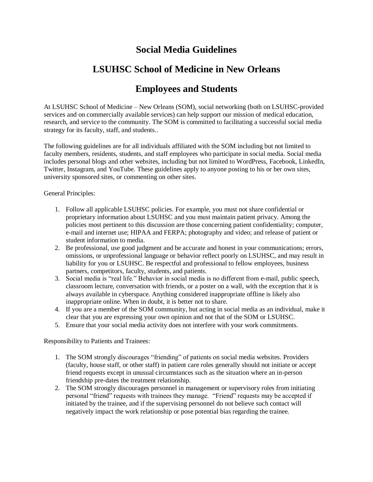## **Social Media Guidelines**

## **LSUHSC School of Medicine in New Orleans**

## **Employees and Students**

At LSUHSC School of Medicine – New Orleans (SOM), social networking (both on LSUHSC-provided services and on commercially available services) can help support our mission of medical education, research, and service to the community. The SOM is committed to facilitating a successful social media strategy for its faculty, staff, and students..

The following guidelines are for all individuals affiliated with the SOM including but not limited to faculty members, residents, students, and staff employees who participate in social media. Social media includes personal blogs and other websites, including but not limited to WordPress, Facebook, LinkedIn, Twitter, Instagram, and YouTube. These guidelines apply to anyone posting to his or her own sites, university sponsored sites, or commenting on other sites.

General Principles:

- 1. Follow all applicable LSUHSC policies. For example, you must not share confidential or proprietary information about LSUHSC and you must maintain patient privacy. Among the policies most pertinent to this discussion are those concerning patient confidentiality; computer, e-mail and internet use; HIPAA and FERPA; photography and video; and release of patient or student information to media.
- 2. Be professional, use good judgment and be accurate and honest in your communications; errors, omissions, or unprofessional language or behavior reflect poorly on LSUHSC, and may result in liability for you or LSUHSC. Be respectful and professional to fellow employees, business partners, competitors, faculty, students, and patients.
- 3. Social media is "real life." Behavior in social media is no different from e-mail, public speech, classroom lecture, conversation with friends, or a poster on a wall, with the exception that it is always available in cyberspace. Anything considered inappropriate offline is likely also inappropriate online. When in doubt, it is better not to share.
- 4. If you are a member of the SOM community, but acting in social media as an individual, make it clear that you are expressing your own opinion and not that of the SOM or LSUHSC.
- 5. Ensure that your social media activity does not interfere with your work commitments.

Responsibility to Patients and Trainees:

- 1. The SOM strongly discourages "friending" of patients on social media websites. Providers (faculty, house staff, or other staff) in patient care roles generally should not initiate or accept friend requests except in unusual circumstances such as the situation where an in-person friendship pre-dates the treatment relationship.
- 2. The SOM strongly discourages personnel in management or supervisory roles from initiating personal "friend" requests with trainees they manage. "Friend" requests may be accepted if initiated by the trainee, and if the supervising personnel do not believe such contact will negatively impact the work relationship or pose potential bias regarding the trainee.